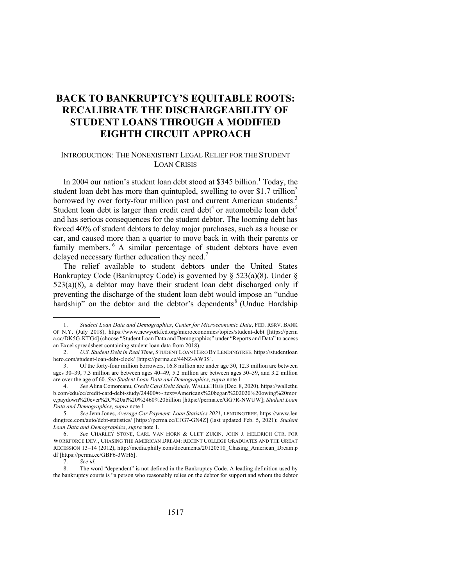# **BACK TO BANKRUPTCY'S EQUITABLE ROOTS: RECALIBRATE THE DISCHARGEABILITY OF STUDENT LOANS THROUGH A MODIFIED EIGHTH CIRCUIT APPROACH**

#### INTRODUCTION: THE NONEXISTENT LEGAL RELIEF FOR THE STUDENT LOAN CRISIS

In 2004 our nation's student loan debt stood at \$345 billion.<sup>1</sup> Today, the student loan debt has more than quintupled, swelling to over \$1.7 trillion<sup>2</sup> borrowed by over forty-four million past and current American students.<sup>3</sup> Student loan debt is larger than credit card debt<sup>4</sup> or automobile loan debt<sup>5</sup> and has serious consequences for the student debtor. The looming debt has forced 40% of student debtors to delay major purchases, such as a house or car, and caused more than a quarter to move back in with their parents or family members.<sup>6</sup> A similar percentage of student debtors have even delayed necessary further education they need.<sup>7</sup>

The relief available to student debtors under the United States Bankruptcy Code (Bankruptcy Code) is governed by § 523(a)(8). Under §  $523(a)(8)$ , a debtor may have their student loan debt discharged only if preventing the discharge of the student loan debt would impose an "undue hardship" on the debtor and the debtor's dependents<sup>8</sup> (Undue Hardship

<sup>1.</sup> *Student Loan Data and Demographics*, *Center for Microeconomic Data*, FED. RSRV. BANK OF N.Y. (July 2018), https://www.newyorkfed.org/microeconomics/topics/student-debt [https://perm a.cc/DK5G-KTG4] (choose "Student Loan Data and Demographics" under "Reports and Data" to access an Excel spreadsheet containing student loan data from 2018).

<sup>2.</sup> *U.S. Student Debt in Real Time*, STUDENT LOAN HERO BY LENDINGTREE, https://studentloan hero.com/student-loan-debt-clock/ [https://perma.cc/44NZ-AW3S].

<sup>3.</sup> Of the forty-four million borrowers, 16.8 million are under age 30, 12.3 million are between ages 30–39, 7.3 million are between ages 40–49, 5.2 million are between ages 50–59, and 3.2 million are over the age of 60. *See Student Loan Data and Demographics*, *supra* note 1.

<sup>4.</sup> *See* Alina Comoreanu, *Credit Card Debt Study*, WALLETHUB (Dec. 8, 2020), https://wallethu b.com/edu/cc/credit-card-debt-study/24400#:~:text=Americans%20began%202020%20owing%20mor e,paydown%20ever%2C%20at%20%2460%20billion [https://perma.cc/GG7R-NWUW]; *Student Loan Data and Demographics*, *supra* note 1.

<sup>5.</sup> *See* Jenn Jones, *Average Car Payment: Loan Statistics 2021*, LENDINGTREE, https://www.len dingtree.com/auto/debt-statistics/ [https://perma.cc/CJG7-GN4Z] (last updated Feb. 5, 2021); *Student Loan Data and Demographics*, *supra* note 1.

<sup>6.</sup> *See* CHARLEY STONE, CARL VAN HORN & CLIFF ZUKIN, JOHN J. HELDRICH CTR. FOR WORKFORCE DEV., CHASING THE AMERICAN DREAM: RECENT COLLEGE GRADUATES AND THE GREAT RECESSION 13-14 (2012), http://media.philly.com/documents/20120510\_Chasing\_American\_Dream.p df [https://perma.cc/GBF6-3WH6].

<sup>7.</sup> *See id.*

<sup>8.</sup> The word "dependent" is not defined in the Bankruptcy Code. A leading definition used by the bankruptcy courts is "a person who reasonably relies on the debtor for support and whom the debtor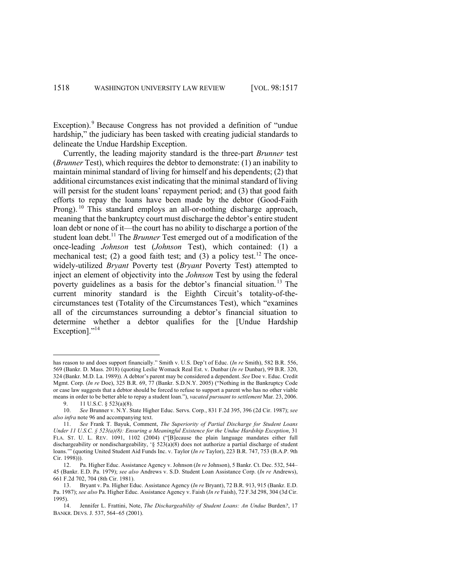Exception).<sup>9</sup> Because Congress has not provided a definition of "undue" hardship," the judiciary has been tasked with creating judicial standards to delineate the Undue Hardship Exception.

Currently, the leading majority standard is the three-part *Brunner* test (*Brunner* Test), which requires the debtor to demonstrate: (1) an inability to maintain minimal standard of living for himself and his dependents; (2) that additional circumstances exist indicating that the minimal standard of living will persist for the student loans' repayment period; and (3) that good faith efforts to repay the loans have been made by the debtor (Good-Faith Prong).<sup>10</sup> This standard employs an all-or-nothing discharge approach, meaning that the bankruptcy court must discharge the debtor's entire student loan debt or none of it—the court has no ability to discharge a portion of the student loan debt.<sup>11</sup> The *Brunner* Test emerged out of a modification of the once-leading *Johnson* test (*Johnson* Test), which contained: (1) a mechanical test; (2) a good faith test; and (3) a policy test.<sup>12</sup> The oncewidely-utilized *Bryant* Poverty test (*Bryant* Poverty Test) attempted to inject an element of objectivity into the *Johnson* Test by using the federal poverty guidelines as a basis for the debtor's financial situation. <sup>13</sup> The current minority standard is the Eighth Circuit's totality-of-thecircumstances test (Totality of the Circumstances Test), which "examines all of the circumstances surrounding a debtor's financial situation to determine whether a debtor qualifies for the [Undue Hardship Exception]."<sup>14</sup>

has reason to and does support financially." Smith v. U.S. Dep't of Educ. (*In re* Smith), 582 B.R. 556, 569 (Bankr. D. Mass. 2018) (quoting Leslie Womack Real Est. v. Dunbar (*In re* Dunbar), 99 B.R. 320, 324 (Bankr. M.D. La. 1989)). A debtor's parent may be considered a dependent. *See* Doe v. Educ. Credit Mgmt. Corp. (*In re* Doe), 325 B.R. 69, 77 (Bankr. S.D.N.Y. 2005) ("Nothing in the Bankruptcy Code or case law suggests that a debtor should be forced to refuse to support a parent who has no other viable means in order to be better able to repay a student loan."), *vacated pursuant to settlement* Mar. 23, 2006. 9. 11 U.S.C. § 523(a)(8).

<sup>10.</sup> *See* Brunner v. N.Y. State Higher Educ. Servs. Corp*.*, 831 F.2d 395, 396 (2d Cir. 1987); *see also infra* note 96 and accompanying text.

<sup>11.</sup> *See* Frank T. Bayuk, Comment, *The Superiority of Partial Discharge for Student Loans Under 11 U.S.C. § 523(a)(8): Ensuring a Meaningful Existence for the Undue Hardship Exception*, 31 FLA. ST. U. L. REV. 1091, 1102 (2004) ("[B]ecause the plain language mandates either full dischargeability or nondischargeability, '§ 523(a)(8) does not authorize a partial discharge of student loans.'" (quoting United Student Aid Funds Inc. v. Taylor (*In re* Taylor), 223 B.R. 747, 753 (B.A.P. 9th Cir. 1998))).

<sup>12.</sup> Pa. Higher Educ. Assistance Agency v. Johnson (*In re* Johnson), 5 Bankr. Ct. Dec. 532, 544– 45 (Bankr. E.D. Pa. 1979); *see also* Andrews v. S.D. Student Loan Assistance Corp. (*In re* Andrews), 661 F.2d 702, 704 (8th Cir. 1981).

<sup>13.</sup> Bryant v. Pa. Higher Educ. Assistance Agency (*In re* Bryant), 72 B.R. 913, 915 (Bankr. E.D. Pa. 1987); *see also* Pa. Higher Educ. Assistance Agency v. Faish (*In re* Faish), 72 F.3d 298, 304 (3d Cir. 1995).

<sup>14.</sup> Jennifer L. Frattini, Note, *The Dischargeability of Student Loans: An Undue* Burden*?*, 17 BANKR. DEVS. J. 537, 564-65 (2001).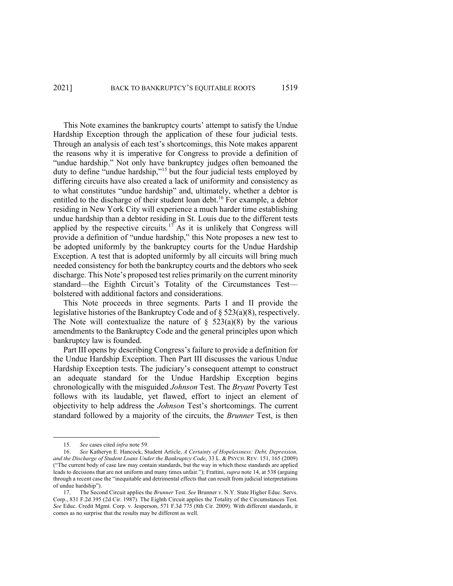This Note examines the bankruptcy courts' attempt to satisfy the Undue Hardship Exception through the application of these four judicial tests. Through an analysis of each test's shortcomings, this Note makes apparent the reasons why it is imperative for Congress to provide a definition of "undue hardship." Not only have bankruptcy judges often bemoaned the duty to define "undue hardship,"<sup>15</sup> but the four judicial tests employed by differing circuits have also created a lack of uniformity and consistency as to what constitutes "undue hardship" and, ultimately, whether a debtor is entitled to the discharge of their student loan debt.<sup>16</sup> For example, a debtor residing in New York City will experience a much harder time establishing undue hardship than a debtor residing in St. Louis due to the different tests applied by the respective circuits.<sup>17</sup> As it is unlikely that Congress will provide a definition of "undue hardship," this Note proposes a new test to be adopted uniformly by the bankruptcy courts for the Undue Hardship Exception. A test that is adopted uniformly by all circuits will bring much needed consistency for both the bankruptcy courts and the debtors who seek discharge. This Note's proposed test relies primarily on the current minority standard—the Eighth Circuit's Totality of the Circumstances Test bolstered with additional factors and considerations.

This Note proceeds in three segments. Parts I and II provide the legislative histories of the Bankruptcy Code and of § 523(a)(8), respectively. The Note will contextualize the nature of  $\S$  523(a)(8) by the various amendments to the Bankruptcy Code and the general principles upon which bankruptcy law is founded.

Part III opens by describing Congress's failure to provide a definition for the Undue Hardship Exception. Then Part III discusses the various Undue Hardship Exception tests. The judiciary's consequent attempt to construct an adequate standard for the Undue Hardship Exception begins chronologically with the misguided *Johnson* Test. The *Bryant* Poverty Test follows with its laudable, yet flawed, effort to inject an element of objectivity to help address the *Johnson* Test's shortcomings. The current standard followed by a majority of the circuits, the *Brunner* Test, is then

<sup>15.</sup> *See* cases cited *infra* note 59.

<sup>16.</sup> *See* Katheryn E. Hancock, Student Article, *A Certainty of Hopelessness: Debt, Depression, and the Discharge of Student Loans Under the Bankruptcy Code*, 33 L. & PSYCH. REV. 151, 165 (2009) ("The current body of case law may contain standards, but the way in which these standards are applied leads to decisions that are not uniform and many times unfair."); Frattini, *supra* note 14, at 538 (arguing through a recent case the "inequitable and detrimental effects that can result from judicial interpretations of undue hardship").

<sup>17.</sup> The Second Circuit applies the *Brunner* Test. *See* Brunner v. N.Y. State Higher Educ. Servs. Corp., 831 F.2d 395 (2d Cir. 1987). The Eighth Circuit applies the Totality of the Circumstances Test. *See* Educ. Credit Mgmt. Corp. v. Jesperson, 571 F.3d 775 (8th Cir. 2009). With different standards, it comes as no surprise that the results may be different as well.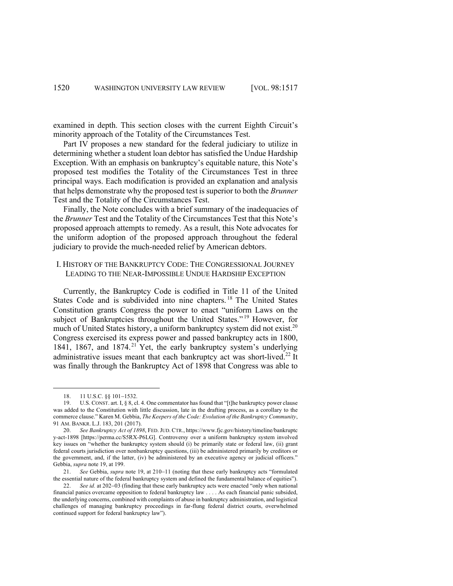examined in depth. This section closes with the current Eighth Circuit's minority approach of the Totality of the Circumstances Test.

Part IV proposes a new standard for the federal judiciary to utilize in determining whether a student loan debtor has satisfied the Undue Hardship Exception. With an emphasis on bankruptcy's equitable nature, this Note's proposed test modifies the Totality of the Circumstances Test in three principal ways. Each modification is provided an explanation and analysis that helps demonstrate why the proposed test is superior to both the *Brunner* Test and the Totality of the Circumstances Test.

Finally, the Note concludes with a brief summary of the inadequacies of the *Brunner* Test and the Totality of the Circumstances Test that this Note's proposed approach attempts to remedy. As a result, this Note advocates for the uniform adoption of the proposed approach throughout the federal judiciary to provide the much-needed relief by American debtors.

# I. HISTORY OF THE BANKRUPTCY CODE: THE CONGRESSIONAL JOURNEY LEADING TO THE NEAR-IMPOSSIBLE UNDUE HARDSHIP EXCEPTION

Currently, the Bankruptcy Code is codified in Title 11 of the United States Code and is subdivided into nine chapters. <sup>18</sup> The United States Constitution grants Congress the power to enact "uniform Laws on the subject of Bankruptcies throughout the United States."<sup>19</sup> However, for much of United States history, a uniform bankruptcy system did not exist.<sup>20</sup> Congress exercised its express power and passed bankruptcy acts in 1800, 1841, 1867, and 1874.<sup>21</sup> Yet, the early bankruptcy system's underlying administrative issues meant that each bankruptcy act was short-lived.<sup>22</sup> It was finally through the Bankruptcy Act of 1898 that Congress was able to

21. *See* Gebbia, *supra* note 19, at 210-11 (noting that these early bankruptcy acts "formulated the essential nature of the federal bankruptcy system and defined the fundamental balance of equities").

<sup>18.</sup> 11 U.S.C. §§ 101-1532.

<sup>19.</sup> U.S. CONST. art. I, § 8, cl. 4. One commentator has found that "[t]he bankruptcy power clause was added to the Constitution with little discussion, late in the drafting process, as a corollary to the commerce clause." Karen M. Gebbia, *The Keepers of the Code: Evolution of the Bankruptcy Community*, 91 AM. BANKR. L.J. 183, 201 (2017).

<sup>20.</sup> *See Bankruptcy Act of 1898*, FED.JUD. CTR., https://www.fjc.gov/history/timeline/bankruptc y-act-1898 [https://perma.cc/S5RX-P6LG]. Controversy over a uniform bankruptcy system involved key issues on "whether the bankruptcy system should (i) be primarily state or federal law, (ii) grant federal courts jurisdiction over nonbankruptcy questions, (iii) be administered primarily by creditors or the government, and, if the latter, (iv) be administered by an executive agency or judicial officers." Gebbia, *supra* note 19, at 199.

<sup>22.</sup> *See id.* at 202-03 (finding that these early bankruptcy acts were enacted "only when national financial panics overcame opposition to federal bankruptcy law . . . . As each financial panic subsided, the underlying concerns, combined with complaints of abuse in bankruptcy administration, and logistical challenges of managing bankruptcy proceedings in far-flung federal district courts, overwhelmed continued support for federal bankruptcy law").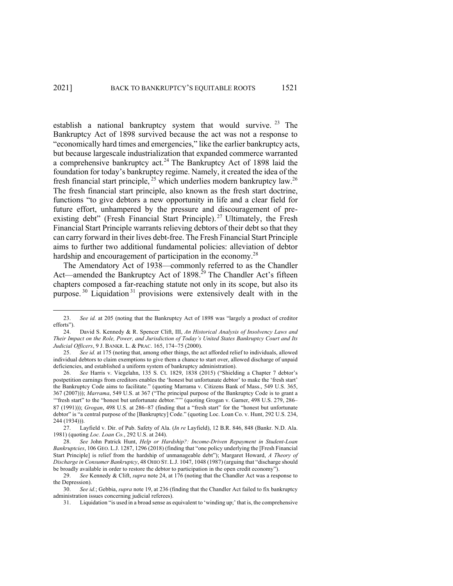establish a national bankruptcy system that would survive.<sup>23</sup> The Bankruptcy Act of 1898 survived because the act was not a response to "economically hard times and emergencies," like the earlier bankruptcy acts, but because largescale industrialization that expanded commerce warranted a comprehensive bankruptcy act.<sup>24</sup> The Bankruptcy Act of 1898 laid the foundation for today's bankruptcy regime. Namely, it created the idea of the fresh financial start principle,  $25$  which underlies modern bankruptcy law.<sup>26</sup> The fresh financial start principle, also known as the fresh start doctrine, functions "to give debtors a new opportunity in life and a clear field for future effort, unhampered by the pressure and discouragement of preexisting debt" (Fresh Financial Start Principle).<sup>27</sup> Ultimately, the Fresh Financial Start Principle warrants relieving debtors of their debt so that they can carry forward in their lives debt-free. The Fresh Financial Start Principle aims to further two additional fundamental policies: alleviation of debtor hardship and encouragement of participation in the economy.<sup>28</sup>

The Amendatory Act of 1938—commonly referred to as the Chandler Act—amended the Bankruptcy Act of 1898.<sup>29</sup> The Chandler Act's fifteen chapters composed a far-reaching statute not only in its scope, but also its purpose.<sup>30</sup> Liquidation<sup>31</sup> provisions were extensively dealt with in the

<sup>23.</sup> *See id.* at 205 (noting that the Bankruptcy Act of 1898 was "largely a product of creditor efforts").

<sup>24.</sup> David S. Kennedy & R. Spencer Clift, III, *An Historical Analysis of Insolvency Laws and Their Impact on the Role, Power, and Jurisdiction of Today's United States Bankruptcy Court and Its Judicial Officers*, 9 J. BANKR. L. & PRAC. 165, 174-75 (2000).

<sup>25.</sup> *See id.* at 175 (noting that, among other things, the act afforded relief to individuals, allowed individual debtors to claim exemptions to give them a chance to start over, allowed discharge of unpaid deficiencies, and established a uniform system of bankruptcy administration).

<sup>26.</sup> *See* Harris v. Viegelahn, 135 S. Ct. 1829, 1838 (2015) ("Shielding a Chapter 7 debtor's postpetition earnings from creditors enables the 'honest but unfortunate debtor' to make the 'fresh start' the Bankruptcy Code aims to facilitate." (quoting Marrama v. Citizens Bank of Mass., 549 U.S. 365, 367 (2007))); *Marrama*, 549 U.S. at 367 ("The principal purpose of the Bankruptcy Code is to grant a '"fresh start" to the "honest but unfortunate debtor."'" (quoting Grogan v. Garner, 498 U.S. 279, 286– 87 (1991))); *Grogan*, 498 U.S. at 286-87 (finding that a "fresh start" for the "honest but unfortunate debtor" is "a central purpose of the [Bankruptcy] Code." (quoting Loc. Loan Co. v. Hunt, 292 U.S. 234, 244 (1934))).

<sup>27.</sup> Layfield v. Dir. of Pub. Safety of Ala. (*In re* Layfield), 12 B.R. 846, 848 (Bankr. N.D. Ala. 1981) (quoting *Loc. Loan Co.*, 292 U.S. at 244).

<sup>28.</sup> *See* John Patrick Hunt, *Help or Hardship?: Income-Driven Repayment in Student-Loan Bankruptcies*, 106 GEO. L.J. 1287, 1296 (2018) (finding that "one policy underlying the [Fresh Financial Start Principle] is relief from the hardship of unmanageable debt"); Margaret Howard, *A Theory of Discharge in Consumer Bankruptcy*, 48 OHIO ST. L.J. 1047, 1048 (1987) (arguing that "discharge should be broadly available in order to restore the debtor to participation in the open credit economy").

<sup>29.</sup> *See* Kennedy & Clift, *supra* note 24, at 176 (noting that the Chandler Act was a response to the Depression).

<sup>30.</sup> *See id.*; Gebbia, *supra* note 19, at 236 (finding that the Chandler Act failed to fix bankruptcy administration issues concerning judicial referees).

<sup>31.</sup> Liquidation "is used in a broad sense as equivalent to 'winding up;' that is, the comprehensive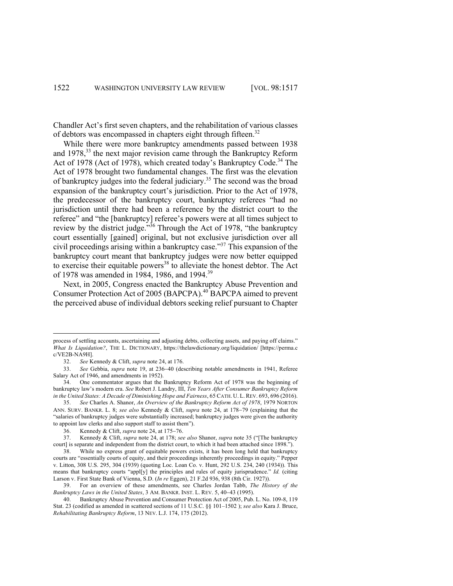Chandler Act's first seven chapters, and the rehabilitation of various classes of debtors was encompassed in chapters eight through fifteen.<sup>32</sup>

While there were more bankruptcy amendments passed between 1938 and 1978,<sup>33</sup> the next major revision came through the Bankruptcy Reform Act of 1978 (Act of 1978), which created today's Bankruptcy Code.<sup>34</sup> The Act of 1978 brought two fundamental changes. The first was the elevation of bankruptcy judges into the federal judiciary.<sup>35</sup> The second was the broad expansion of the bankruptcy court's jurisdiction. Prior to the Act of 1978, the predecessor of the bankruptcy court, bankruptcy referees "had no jurisdiction until there had been a reference by the district court to the referee" and "the [bankruptcy] referee's powers were at all times subject to review by the district judge."36 Through the Act of 1978, "the bankruptcy court essentially [gained] original, but not exclusive jurisdiction over all civil proceedings arising within a bankruptcy case."37 This expansion of the bankruptcy court meant that bankruptcy judges were now better equipped to exercise their equitable powers<sup>38</sup> to alleviate the honest debtor. The Act of 1978 was amended in 1984, 1986, and 1994.39

Next, in 2005, Congress enacted the Bankruptcy Abuse Prevention and Consumer Protection Act of 2005 (BAPCPA).<sup>40</sup> BAPCPA aimed to prevent the perceived abuse of individual debtors seeking relief pursuant to Chapter

process of settling accounts, ascertaining and adjusting debts, collecting assets, and paying off claims." *What Is Liquidation?*, THE L. DICTIONARY, https://thelawdictionary.org/liquidation/ [https://perma.c c/VE2B-NA9H].

<sup>32.</sup> *See* Kennedy & Clift, *supra* note 24, at 176.

<sup>33.</sup> *See* Gebbia, *supra* note 19, at 236-40 (describing notable amendments in 1941, Referee Salary Act of 1946, and amendments in 1952).

<sup>34.</sup> One commentator argues that the Bankruptcy Reform Act of 1978 was the beginning of bankruptcy law's modern era. *See* Robert J. Landry, III, *Ten Years After Consumer Bankruptcy Reform in the United States: A Decade of Diminishing Hope and Fairness*, 65 CATH. U. L.REV. 693, 696 (2016).

<sup>35.</sup> *See* Charles A. Shanor, *An Overview of the Bankruptcy Reform Act of 1978*, 1979 NORTON ANN. SURV. BANKR. L. 8; *see also* Kennedy & Clift, *supra* note 24, at 178-79 (explaining that the "salaries of bankruptcy judges were substantially increased; bankruptcy judges were given the authority to appoint law clerks and also support staff to assist them").

<sup>36.</sup> Kennedy & Clift, *supra* note 24, at 175-76.

<sup>37.</sup> Kennedy & Clift, *supra* note 24, at 178; *see also* Shanor, *supra* note 35 ("[The bankruptcy court] is separate and independent from the district court, to which it had been attached since 1898.").

<sup>38.</sup> While no express grant of equitable powers exists, it has been long held that bankruptcy courts are "essentially courts of equity, and their proceedings inherently proceedings in equity." Pepper v. Litton, 308 U.S. 295, 304 (1939) (quoting Loc. Loan Co. v. Hunt, 292 U.S. 234, 240 (1934)). This means that bankruptcy courts "appl[y] the principles and rules of equity jurisprudence." *Id.* (citing Larson v. First State Bank of Vienna, S.D. (*In re* Eggen), 21 F.2d 936, 938 (8th Cir. 1927)).

<sup>39.</sup> For an overview of these amendments, see Charles Jordan Tabb, *The History of the Bankruptcy Laws in the United States*, 3 AM. BANKR. INST. L. REV. 5, 40-43 (1995).

<sup>40.</sup> Bankruptcy Abuse Prevention and Consumer Protection Act of 2005, Pub. L. No. 109-8, 119 Stat. 23 (codified as amended in scattered sections of 11 U.S.C. §§ 101–1502 ); *see also* Kara J. Bruce, *Rehabilitating Bankruptcy Reform*, 13 NEV. L.J. 174, 175 (2012).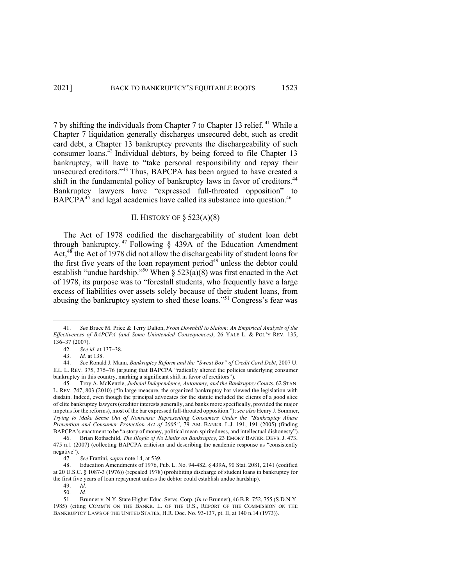7 by shifting the individuals from Chapter 7 to Chapter 13 relief. <sup>41</sup> While a Chapter 7 liquidation generally discharges unsecured debt, such as credit card debt, a Chapter 13 bankruptcy prevents the dischargeability of such consumer loans. $42$  Individual debtors, by being forced to file Chapter 13 bankruptcy, will have to "take personal responsibility and repay their unsecured creditors."<sup>43</sup> Thus, BAPCPA has been argued to have created a shift in the fundamental policy of bankruptcy laws in favor of creditors.<sup>44</sup> Bankruptcy lawyers have "expressed full-throated opposition" to BAPCPA<sup>45</sup> and legal academics have called its substance into question.<sup>46</sup>

## II. HISTORY OF § 523(A)(8)

The Act of 1978 codified the dischargeability of student loan debt through bankruptcy.<sup>47</sup> Following  $\S$  439A of the Education Amendment Act, $48$  the Act of 1978 did not allow the dischargeability of student loans for the first five years of the loan repayment period<sup>49</sup> unless the debtor could establish "undue hardship."<sup>50</sup> When § 523(a)(8) was first enacted in the Act of 1978, its purpose was to "forestall students, who frequently have a large excess of liabilities over assets solely because of their student loans, from abusing the bankruptcy system to shed these loans."51 Congress's fear was

<sup>41.</sup> *See* Bruce M. Price & Terry Dalton, *From Downhill to Slalom: An Empirical Analysis of the Effectiveness of BAPCPA (and Some Unintended Consequences)*, 26 YALE L. & POL'Y REV. 135, 136-37 (2007).

<sup>42.</sup> *See id.* at 137-38.

*Id.* at 138.

<sup>44.</sup> *See* Ronald J. Mann, *Bankruptcy Reform and the "Sweat Box" of Credit Card Debt*, 2007 U. ILL. L. REV. 375, 375-76 (arguing that BAPCPA "radically altered the policies underlying consumer bankruptcy in this country, marking a significant shift in favor of creditors").

<sup>45.</sup> Troy A. McKenzie, *Judicial Independence, Autonomy, and the Bankruptcy Courts*, 62 STAN. L. REV. 747, 803 (2010) ("In large measure, the organized bankruptcy bar viewed the legislation with disdain. Indeed, even though the principal advocates for the statute included the clients of a good slice of elite bankruptcy lawyers (creditor interests generally, and banks more specifically, provided the major impetus for the reforms), most of the bar expressed full-throated opposition."); *see also* Henry J. Sommer, *Trying to Make Sense Out of Nonsense: Representing Consumers Under the "Bankruptcy Abuse Prevention and Consumer Protection Act of 2005"*, 79 AM. BANKR. L.J. 191, 191 (2005) (finding BAPCPA's enactment to be "a story of money, political mean-spiritedness, and intellectual dishonesty").

<sup>46.</sup> Brian Rothschild, *The Illogic of No Limits on Bankruptcy*, 23 EMORY BANKR. DEVS. J. 473, 475 n.1 (2007) (collecting BAPCPA criticism and describing the academic response as "consistently negative").

<sup>47.</sup> *See* Frattini, *supra* note 14, at 539.

<sup>48.</sup> Education Amendments of 1976, Pub. L. No. 94-482, § 439A, 90 Stat. 2081, 2141 (codified at 20 U.S.C. § 1087-3 (1976)) (repealed 1978) (prohibiting discharge of student loans in bankruptcy for the first five years of loan repayment unless the debtor could establish undue hardship).

<sup>49.</sup> *Id.*

<sup>50.</sup> *Id.*

<sup>51.</sup> Brunner v. N.Y. State Higher Educ. Servs. Corp. (*In re* Brunner), 46 B.R. 752, 755 (S.D.N.Y. 1985) (citing COMM'N ON THE BANKR. L. OF THE U.S., REPORT OF THE COMMISSION ON THE BANKRUPTCY LAWS OF THE UNITED STATES, H.R. Doc. No. 93-137, pt. II, at 140 n.14 (1973)).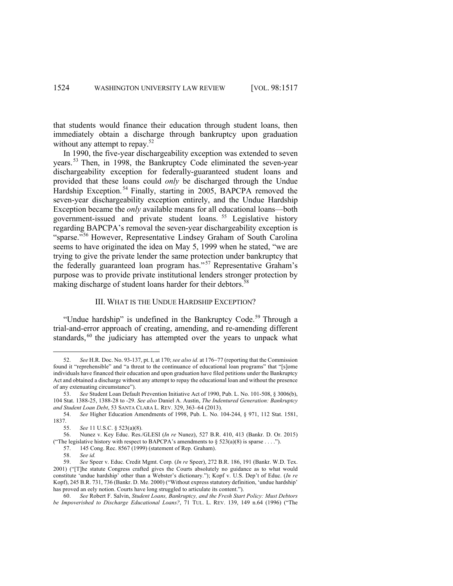that students would finance their education through student loans, then immediately obtain a discharge through bankruptcy upon graduation without any attempt to repay.<sup>52</sup>

In 1990, the five-year dischargeability exception was extended to seven years. <sup>53</sup> Then, in 1998, the Bankruptcy Code eliminated the seven-year dischargeability exception for federally-guaranteed student loans and provided that these loans could *only* be discharged through the Undue Hardship Exception.<sup>54</sup> Finally, starting in 2005, BAPCPA removed the seven-year dischargeability exception entirely, and the Undue Hardship Exception became the *only* available means for all educational loans—both government-issued and private student loans. <sup>55</sup> Legislative history regarding BAPCPA's removal the seven-year dischargeability exception is "sparse."<sup>56</sup> However, Representative Lindsey Graham of South Carolina seems to have originated the idea on May 5, 1999 when he stated, "we are trying to give the private lender the same protection under bankruptcy that the federally guaranteed loan program has."<sup>57</sup> Representative Graham's purpose was to provide private institutional lenders stronger protection by making discharge of student loans harder for their debtors.<sup>58</sup>

#### III. WHAT IS THE UNDUE HARDSHIP EXCEPTION?

"Undue hardship" is undefined in the Bankruptcy Code.<sup>59</sup> Through a trial-and-error approach of creating, amending, and re-amending different standards,<sup>60</sup> the judiciary has attempted over the years to unpack what

- 57. 145 Cong. Rec. 8567 (1999) (statement of Rep. Graham).
	- 58. *See id.*

<sup>52.</sup> *See* H.R. Doc. No. 93-137, pt. I, at 170; *see also id.* at 176-77 (reporting that the Commission found it "reprehensible" and "a threat to the continuance of educational loan programs" that "[s]ome individuals have financed their education and upon graduation have filed petitions under the Bankruptcy Act and obtained a discharge without any attempt to repay the educational loan and without the presence of any extenuating circumstance").

<sup>53.</sup> *See* Student Loan Default Prevention Initiative Act of 1990, Pub. L. No. 101-508, § 3006(b), 104 Stat. 1388-25, 1388-28 to -29. *See also* Daniel A. Austin, *The Indentured Generation: Bankruptcy and Student Loan Debt*, 53 SANTA CLARA L. REV. 329, 363–64 (2013).

<sup>54.</sup> *See* Higher Education Amendments of 1998, Pub. L. No. 104-244, § 971, 112 Stat. 1581, 1837.

<sup>55.</sup> *See* 11 U.S.C. § 523(a)(8).

<sup>56.</sup> Nunez v. Key Educ. Res./GLESI (*In re* Nunez), 527 B.R. 410, 413 (Bankr. D. Or. 2015) ("The legislative history with respect to BAPCPA's amendments to  $\S 523(a)(8)$  is sparse . . . .").

<sup>59.</sup> *See* Speer v. Educ. Credit Mgmt. Corp*.* (*In re* Speer), 272 B.R. 186, 191 (Bankr. W.D. Tex. 2001) ("[T]he statute Congress crafted gives the Courts absolutely no guidance as to what would constitute 'undue hardship' other than a Webster's dictionary."); Kopf v. U.S. Dep't of Educ. (*In re*  Kopf), 245 B.R. 731, 736 (Bankr. D. Me. 2000) ("Without express statutory definition, 'undue hardship' has proved an eely notion. Courts have long struggled to articulate its content.").

<sup>60.</sup> *See* Robert F. Salvin, *Student Loans, Bankruptcy, and the Fresh Start Policy: Must Debtors be Impoverished to Discharge Educational Loans?*, 71 TUL. L. REV. 139, 149 n.64 (1996) ("The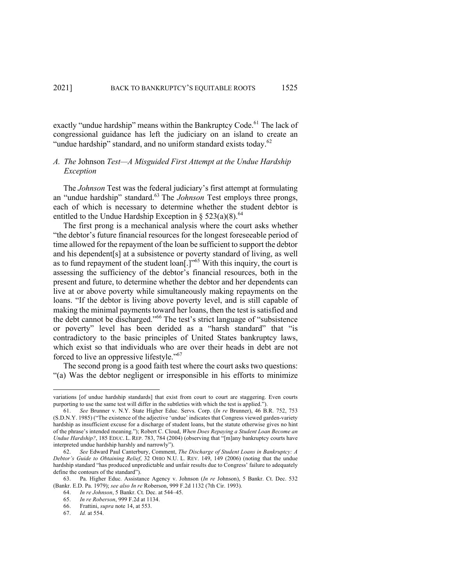exactly "undue hardship" means within the Bankruptcy Code.<sup>61</sup> The lack of congressional guidance has left the judiciary on an island to create an "undue hardship" standard, and no uniform standard exists today. $62$ 

#### *A. The* Johnson *Test—A Misguided First Attempt at the Undue Hardship Exception*

The *Johnson* Test was the federal judiciary's first attempt at formulating an "undue hardship" standard.63 The *Johnson* Test employs three prongs, each of which is necessary to determine whether the student debtor is entitled to the Undue Hardship Exception in §  $523(a)(8)^{64}$ 

The first prong is a mechanical analysis where the court asks whether "the debtor's future financial resources for the longest foreseeable period of time allowed for the repayment of the loan be sufficient to support the debtor and his dependent[s] at a subsistence or poverty standard of living, as well as to fund repayment of the student loan[.]"65 With this inquiry, the court is assessing the sufficiency of the debtor's financial resources, both in the present and future, to determine whether the debtor and her dependents can live at or above poverty while simultaneously making repayments on the loans. "If the debtor is living above poverty level, and is still capable of making the minimal payments toward her loans, then the test is satisfied and the debt cannot be discharged."<sup>66</sup> The test's strict language of "subsistence or poverty" level has been derided as a "harsh standard" that "is contradictory to the basic principles of United States bankruptcy laws, which exist so that individuals who are over their heads in debt are not forced to live an oppressive lifestyle."<sup>67</sup>

The second prong is a good faith test where the court asks two questions: "(a) Was the debtor negligent or irresponsible in his efforts to minimize

variations [of undue hardship standards] that exist from court to court are staggering. Even courts purporting to use the same test will differ in the subtleties with which the test is applied.").

<sup>61.</sup> *See* Brunner v. N.Y. State Higher Educ. Servs. Corp. (*In re* Brunner), 46 B.R. 752, 753 (S.D.N.Y. 1985) ("The existence of the adjective 'undue' indicates that Congress viewed garden-variety hardship as insufficient excuse for a discharge of student loans, but the statute otherwise gives no hint of the phrase's intended meaning."); Robert C. Cloud, *When Does Repaying a Student Loan Become an Undue Hardship?*, 185 EDUC. L. REP. 783, 784 (2004) (observing that "[m]any bankruptcy courts have interpreted undue hardship harshly and narrowly").

<sup>62.</sup> *See* Edward Paul Canterbury, Comment, *The Discharge of Student Loans in Bankruptcy: A Debtor's Guide to Obtaining Relief*, 32 OHIO N.U. L. REV. 149, 149 (2006) (noting that the undue hardship standard "has produced unpredictable and unfair results due to Congress' failure to adequately define the contours of the standard").

<sup>63.</sup> Pa. Higher Educ. Assistance Agency v. Johnson (*In re* Johnson), 5 Bankr. Ct. Dec. 532 (Bankr. E.D. Pa. 1979); *see also In re* Roberson, 999 F.2d 1132 (7th Cir. 1993).

<sup>64.</sup> *In re Johnson*, 5 Bankr. Ct. Dec. at 544–45.

<sup>65.</sup> *In re Roberson*, 999 F.2d at 1134.

<sup>66.</sup> Frattini, *supra* note 14, at 553.

<sup>67.</sup> *Id.* at 554.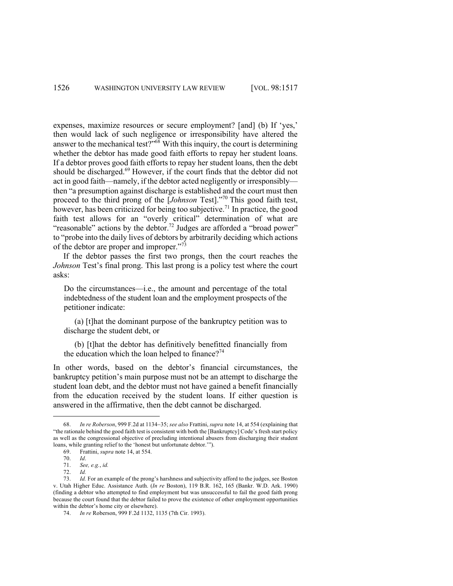expenses, maximize resources or secure employment? [and] (b) If 'yes,' then would lack of such negligence or irresponsibility have altered the answer to the mechanical test?" $68$ <sup>With</sup> this inquiry, the court is determining whether the debtor has made good faith efforts to repay her student loans. If a debtor proves good faith efforts to repay her student loans, then the debt should be discharged.<sup>69</sup> However, if the court finds that the debtor did not act in good faith—namely, if the debtor acted negligently or irresponsibly then "a presumption against discharge is established and the court must then proceed to the third prong of the [*Johnson* Test]."70 This good faith test, however, has been criticized for being too subjective.<sup>71</sup> In practice, the good faith test allows for an "overly critical" determination of what are "reasonable" actions by the debtor.<sup>72</sup> Judges are afforded a "broad power" to "probe into the daily lives of debtors by arbitrarily deciding which actions of the debtor are proper and improper."<sup>73</sup>

If the debtor passes the first two prongs, then the court reaches the *Johnson* Test's final prong. This last prong is a policy test where the court asks:

Do the circumstances—i.e., the amount and percentage of the total indebtedness of the student loan and the employment prospects of the petitioner indicate:

(a) [t]hat the dominant purpose of the bankruptcy petition was to discharge the student debt, or

(b) [t]hat the debtor has definitively benefitted financially from the education which the loan helped to finance?<sup>74</sup>

In other words, based on the debtor's financial circumstances, the bankruptcy petition's main purpose must not be an attempt to discharge the student loan debt, and the debtor must not have gained a benefit financially from the education received by the student loans. If either question is answered in the affirmative, then the debt cannot be discharged.

<sup>68.</sup> *In re Roberson*, 999 F.2d at 1134-35; *see also* Frattini, *supra* note 14, at 554 (explaining that "the rationale behind the good faith test is consistent with both the [Bankruptcy] Code's fresh start policy as well as the congressional objective of precluding intentional abusers from discharging their student loans, while granting relief to the 'honest but unfortunate debtor.'").

<sup>69.</sup> Frattini, *supra* note 14, at 554.

<sup>70.</sup> *Id*.

<sup>71.</sup> *See, e.g.*, *id.*

<sup>72.</sup> *Id.*

<sup>73.</sup> *Id.* For an example of the prong's harshness and subjectivity afford to the judges, see Boston v. Utah Higher Educ. Assistance Auth. (*In re* Boston), 119 B.R. 162, 165 (Bankr. W.D. Ark. 1990) (finding a debtor who attempted to find employment but was unsuccessful to fail the good faith prong because the court found that the debtor failed to prove the existence of other employment opportunities within the debtor's home city or elsewhere).

<sup>74.</sup> *In re* Roberson, 999 F.2d 1132, 1135 (7th Cir. 1993).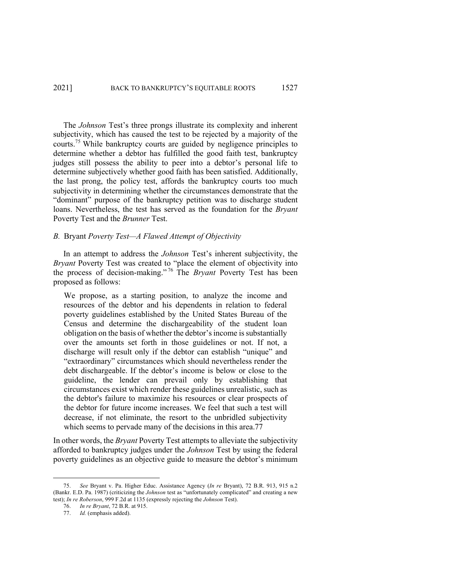The *Johnson* Test's three prongs illustrate its complexity and inherent subjectivity, which has caused the test to be rejected by a majority of the courts.<sup>75</sup> While bankruptcy courts are guided by negligence principles to determine whether a debtor has fulfilled the good faith test, bankruptcy judges still possess the ability to peer into a debtor's personal life to determine subjectively whether good faith has been satisfied. Additionally, the last prong, the policy test, affords the bankruptcy courts too much subjectivity in determining whether the circumstances demonstrate that the "dominant" purpose of the bankruptcy petition was to discharge student loans. Nevertheless, the test has served as the foundation for the *Bryant* Poverty Test and the *Brunner* Test.

#### *B.* Bryant *Poverty Test—A Flawed Attempt of Objectivity*

In an attempt to address the *Johnson* Test's inherent subjectivity, the *Bryant* Poverty Test was created to "place the element of objectivity into the process of decision-making." <sup>76</sup> The *Bryant* Poverty Test has been proposed as follows:

We propose, as a starting position, to analyze the income and resources of the debtor and his dependents in relation to federal poverty guidelines established by the United States Bureau of the Census and determine the dischargeability of the student loan obligation on the basis of whether the debtor's income is substantially over the amounts set forth in those guidelines or not. If not, a discharge will result only if the debtor can establish "unique" and "extraordinary" circumstances which should nevertheless render the debt dischargeable. If the debtor's income is below or close to the guideline, the lender can prevail only by establishing that circumstances exist which render these guidelines unrealistic, such as the debtor's failure to maximize his resources or clear prospects of the debtor for future income increases. We feel that such a test will decrease, if not eliminate, the resort to the unbridled subjectivity which seems to pervade many of the decisions in this area.77

In other words, the *Bryant* Poverty Test attempts to alleviate the subjectivity afforded to bankruptcy judges under the *Johnson* Test by using the federal poverty guidelines as an objective guide to measure the debtor's minimum

<sup>75.</sup> *See* Bryant v. Pa. Higher Educ. Assistance Agency (*In re* Bryant), 72 B.R. 913, 915 n.2 (Bankr. E.D. Pa. 1987) (criticizing the *Johnson* test as "unfortunately complicated" and creating a new test); *In re Roberson*, 999 F.2d at 1135 (expressly rejecting the *Johnson* Test).

<sup>76.</sup> *In re Bryant*, 72 B.R. at 915.

<sup>77.</sup> *Id.* (emphasis added).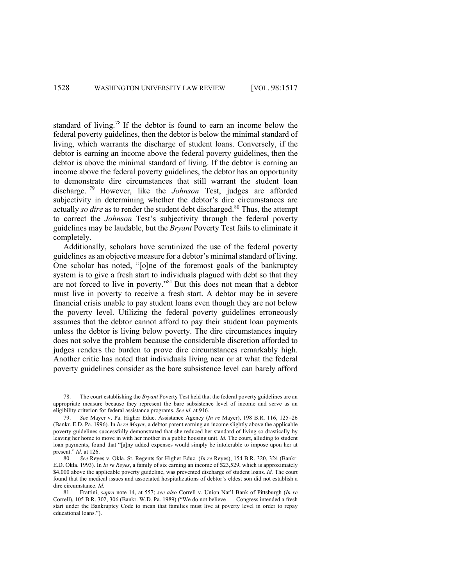standard of living.<sup>78</sup> If the debtor is found to earn an income below the federal poverty guidelines, then the debtor is below the minimal standard of living, which warrants the discharge of student loans. Conversely, if the debtor is earning an income above the federal poverty guidelines, then the debtor is above the minimal standard of living. If the debtor is earning an income above the federal poverty guidelines, the debtor has an opportunity to demonstrate dire circumstances that still warrant the student loan discharge. <sup>79</sup> However, like the *Johnson* Test, judges are afforded subjectivity in determining whether the debtor's dire circumstances are actually *so dire* as to render the student debt discharged.<sup>80</sup> Thus, the attempt to correct the *Johnson* Test's subjectivity through the federal poverty guidelines may be laudable, but the *Bryant* Poverty Test fails to eliminate it completely.

Additionally, scholars have scrutinized the use of the federal poverty guidelines as an objective measure for a debtor's minimal standard of living. One scholar has noted, "[o]ne of the foremost goals of the bankruptcy system is to give a fresh start to individuals plagued with debt so that they are not forced to live in poverty."81 But this does not mean that a debtor must live in poverty to receive a fresh start. A debtor may be in severe financial crisis unable to pay student loans even though they are not below the poverty level. Utilizing the federal poverty guidelines erroneously assumes that the debtor cannot afford to pay their student loan payments unless the debtor is living below poverty. The dire circumstances inquiry does not solve the problem because the considerable discretion afforded to judges renders the burden to prove dire circumstances remarkably high. Another critic has noted that individuals living near or at what the federal poverty guidelines consider as the bare subsistence level can barely afford

<sup>78.</sup> The court establishing the *Bryant* Poverty Test held that the federal poverty guidelines are an appropriate measure because they represent the bare subsistence level of income and serve as an eligibility criterion for federal assistance programs. *See id.* at 916.

<sup>79.</sup> *See* Mayer v. Pa. Higher Educ. Assistance Agency (*In re* Mayer), 198 B.R. 116, 125-26 (Bankr. E.D. Pa. 1996). In *In re Mayer*, a debtor parent earning an income slightly above the applicable poverty guidelines successfully demonstrated that she reduced her standard of living so drastically by leaving her home to move in with her mother in a public housing unit. *Id.* The court, alluding to student loan payments, found that "[a]ny added expenses would simply be intolerable to impose upon her at present." *Id.* at 126.

<sup>80.</sup> *See* Reyes v. Okla. St. Regents for Higher Educ*.* (*In re* Reyes), 154 B.R. 320, 324 (Bankr. E.D. Okla. 1993). In *In re Reyes*, a family of six earning an income of \$23,529, which is approximately \$4,000 above the applicable poverty guideline, was prevented discharge of student loans. *Id.* The court found that the medical issues and associated hospitalizations of debtor's eldest son did not establish a dire circumstance. *Id.*

<sup>81.</sup> Frattini, *supra* note 14, at 557; *see also* Correll v. Union Nat'l Bank of Pittsburgh (*In re*  Correll), 105 B.R. 302, 306 (Bankr. W.D. Pa. 1989) ("We do not believe . . . Congress intended a fresh start under the Bankruptcy Code to mean that families must live at poverty level in order to repay educational loans.").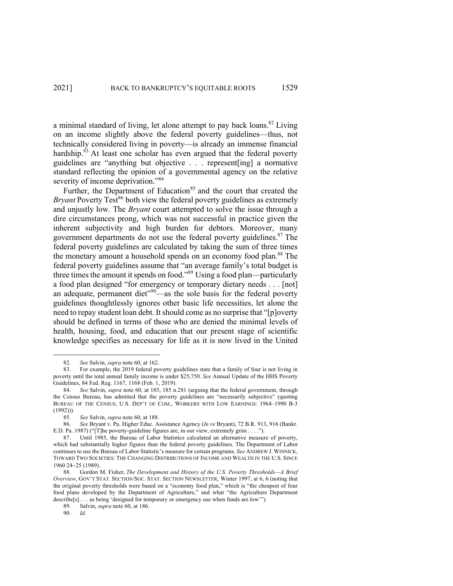a minimal standard of living, let alone attempt to pay back loans.<sup>82</sup> Living on an income slightly above the federal poverty guidelines—thus, not technically considered living in poverty—is already an immense financial hardship.<sup>83</sup> At least one scholar has even argued that the federal poverty guidelines are "anything but objective . . . represent[ing] a normative standard reflecting the opinion of a governmental agency on the relative severity of income deprivation."<sup>84</sup>

Further, the Department of Education<sup>85</sup> and the court that created the *Bryant* Poverty Test<sup>86</sup> both view the federal poverty guidelines as extremely and unjustly low. The *Bryant* court attempted to solve the issue through a dire circumstances prong, which was not successful in practice given the inherent subjectivity and high burden for debtors. Moreover, many government departments do not use the federal poverty guidelines.<sup>87</sup> The federal poverty guidelines are calculated by taking the sum of three times the monetary amount a household spends on an economy food plan.<sup>88</sup> The federal poverty guidelines assume that "an average family's total budget is three times the amount it spends on food."89 Using a food plan—particularly a food plan designed "for emergency or temporary dietary needs . . . [not] an adequate, permanent diet"90—as the sole basis for the federal poverty guidelines thoughtlessly ignores other basic life necessities, let alone the need to repay student loan debt. It should come as no surprise that "[p]overty should be defined in terms of those who are denied the minimal levels of health, housing, food, and education that our present stage of scientific knowledge specifies as necessary for life as it is now lived in the United

<sup>82.</sup> *See* Salvin, *supra* note 60, at 162.

<sup>83.</sup> For example, the 2019 federal poverty guidelines state that a family of four is not living in poverty until the total annual family income is under \$25,750. *See* Annual Update of the HHS Poverty Guidelines, 84 Fed. Reg. 1167, 1168 (Feb. 1, 2019).

<sup>84.</sup> *See* Salvin, *supra* note 60, at 185, 185 n.281 (arguing that the federal government, through the Census Bureau, has admitted that the poverty guidelines are "necessarily subjective" (quoting BUREAU OF THE CENSUS, U.S. DEP'T OF COM., WORKERS WITH LOW EARNINGS: 1964–1990 B-3  $(1992))$ ).

<sup>85.</sup> *See* Salvin, *supra* note 60, at 188.

<sup>86.</sup> *See* Bryant v. Pa. Higher Educ. Assistance Agency (*In re* Bryant), 72 B.R. 913, 916 (Bankr. E.D. Pa. 1987) ("[T]he poverty-guideline figures are, in our view, extremely grim . . . .").

<sup>87.</sup> Until 1985, the Bureau of Labor Statistics calculated an alternative measure of poverty, which had substantially higher figures than the federal poverty guidelines. The Department of Labor continues to use the Bureau of Labor Statistic's measure for certain programs. *See* ANDREW J. WINNICK, TOWARD TWO SOCIETIES: THE CHANGING DISTRIBUTIONS OF INCOME AND WEALTH IN THE U.S. SINCE 1960 24-25 (1989).

<sup>88.</sup> Gordon M. Fisher, *The Development and History of the U.S. Poverty Thresholds—A Brief Overview*, GOV'T STAT. SECTION/SOC. STAT. SECTION NEWSLETTER, Winter 1997, at 6, 6 (noting that the original poverty thresholds were based on a "economy food plan," which is "the cheapest of four food plans developed by the Department of Agriculture," and what "the Agriculture Department describe[s] . . . as being 'designed for temporary or emergency use when funds are low'").

<sup>89.</sup> Salvin, *supra* note 60, at 186.

<sup>90.</sup> *Id.*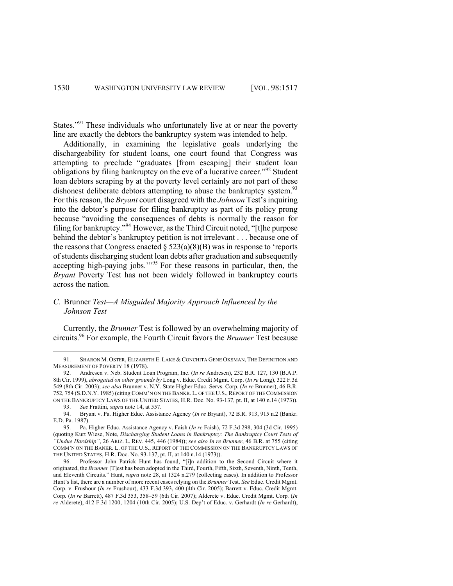States."91 These individuals who unfortunately live at or near the poverty line are exactly the debtors the bankruptcy system was intended to help.

Additionally, in examining the legislative goals underlying the dischargeability for student loans, one court found that Congress was attempting to preclude "graduates [from escaping] their student loan obligations by filing bankruptcy on the eve of a lucrative career."<sup>92</sup> Student loan debtors scraping by at the poverty level certainly are not part of these dishonest deliberate debtors attempting to abuse the bankruptcy system.<sup>93</sup> For this reason, the *Bryant* court disagreed with the *Johnson* Test's inquiring into the debtor's purpose for filing bankruptcy as part of its policy prong because "avoiding the consequences of debts is normally the reason for filing for bankruptcy."<sup>94</sup> However, asthe Third Circuit noted, "[t]he purpose behind the debtor's bankruptcy petition is not irrelevant . . . because one of the reasons that Congress enacted  $\S 523(a)(8)(B)$  was in response to 'reports of students discharging student loan debts after graduation and subsequently accepting high-paying jobs.'"<sup>95</sup> For these reasons in particular, then, the *Bryant* Poverty Test has not been widely followed in bankruptcy courts across the nation.

# *C.* Brunner *Test—A Misguided Majority Approach Influenced by the Johnson Test*

Currently, the *Brunner* Test is followed by an overwhelming majority of circuits.96 For example, the Fourth Circuit favors the *Brunner* Test because

<sup>91.</sup> SHARON M. OSTER, ELIZABETH E. LAKE & CONCHITA GENE OKSMAN, THE DEFINITION AND MEASUREMENT OF POVERTY 18 (1978).

<sup>92.</sup> Andresen v. Neb. Student Loan Program, Inc. (*In re* Andresen), 232 B.R. 127, 130 (B.A.P. 8th Cir. 1999), *abrogated on other grounds by* Long v. Educ. Credit Mgmt. Corp. (*In re* Long), 322 F.3d 549 (8th Cir. 2003); *see also* Brunner v. N.Y. State Higher Educ. Servs. Corp. (*In re* Brunner), 46 B.R. 752, 754 (S.D.N.Y. 1985) (citing COMM'N ON THE BANKR. L. OF THE U.S., REPORT OF THE COMMISSION ON THE BANKRUPTCY LAWS OF THE UNITED STATES, H.R. Doc. No. 93-137, pt. II, at 140 n.14 (1973)).

<sup>93.</sup> *See* Frattini, *supra* note 14, at 557.

<sup>94.</sup> Bryant v. Pa. Higher Educ. Assistance Agency (*In re* Bryant), 72 B.R. 913, 915 n.2 (Bankr. E.D. Pa. 1987).

<sup>95.</sup> Pa. Higher Educ. Assistance Agency v. Faish (*In re* Faish), 72 F.3d 298, 304 (3d Cir. 1995) (quoting Kurt Wiese, Note, *Discharging Student Loans in Bankruptcy: The Bankruptcy Court Tests of "Undue Hardship"*, 26 ARIZ. L. REV. 445, 446 (1984)); *see also In re Brunner*, 46 B.R. at 755 (citing COMM'N ON THE BANKR. L. OF THE U.S., REPORT OF THE COMMISSION ON THE BANKRUPTCY LAWS OF THE UNITED STATES, H.R. Doc. No. 93-137, pt. II, at 140 n.14 (1973)).

<sup>96.</sup> Professor John Patrick Hunt has found, "[i]n addition to the Second Circuit where it originated, the *Brunner* [T]est has been adopted in the Third, Fourth, Fifth, Sixth, Seventh, Ninth, Tenth, and Eleventh Circuits." Hunt, *supra* note 28, at 1324 n.279 (collecting cases). In addition to Professor Hunt's list, there are a number of more recent cases relying on the *Brunner* Test. *See* Educ. Credit Mgmt. Corp. v. Frushour (*In re* Frushour), 433 F.3d 393, 400 (4th Cir. 2005); Barrett v. Educ. Credit Mgmt. Corp*.* (*In re* Barrett), 487 F.3d 353, 358-59 (6th Cir. 2007); Alderete v. Educ. Credit Mgmt. Corp*.* (*In re* Alderete), 412 F.3d 1200, 1204 (10th Cir. 2005); U.S. Dep't of Educ. v. Gerhardt (*In re* Gerhardt),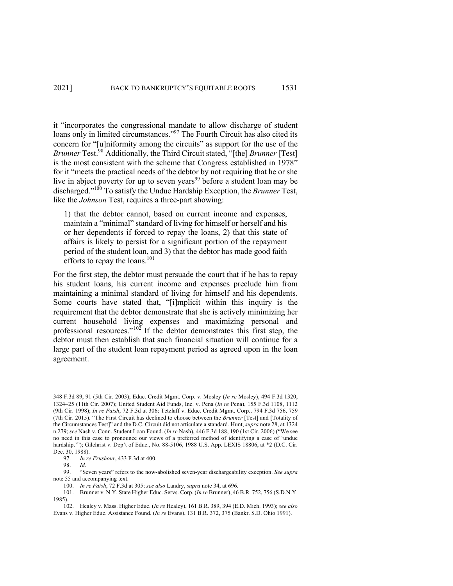it "incorporates the congressional mandate to allow discharge of student loans only in limited circumstances."<sup>97</sup> The Fourth Circuit has also cited its concern for "[u]niformity among the circuits" as support for the use of the *Brunner* Test.<sup>98</sup> Additionally, the Third Circuit stated, "[the] *Brunner* [Test] is the most consistent with the scheme that Congress established in 1978" for it "meets the practical needs of the debtor by not requiring that he or she live in abject poverty for up to seven years<sup>99</sup> before a student loan may be discharged."100 To satisfy the Undue Hardship Exception, the *Brunner* Test, like the *Johnson* Test, requires a three-part showing:

1) that the debtor cannot, based on current income and expenses, maintain a "minimal" standard of living for himself or herself and his or her dependents if forced to repay the loans, 2) that this state of affairs is likely to persist for a significant portion of the repayment period of the student loan, and 3) that the debtor has made good faith efforts to repay the loans.<sup>101</sup>

For the first step, the debtor must persuade the court that if he has to repay his student loans, his current income and expenses preclude him from maintaining a minimal standard of living for himself and his dependents. Some courts have stated that, "[i]mplicit within this inquiry is the requirement that the debtor demonstrate that she is actively minimizing her current household living expenses and maximizing personal and professional resources."<sup>102</sup> If the debtor demonstrates this first step, the debtor must then establish that such financial situation will continue for a large part of the student loan repayment period as agreed upon in the loan agreement.

<sup>348</sup> F.3d 89, 91 (5th Cir. 2003); Educ. Credit Mgmt. Corp. v. Mosley (*In re* Mosley), 494 F.3d 1320, 1324-25 (11th Cir. 2007); United Student Aid Funds, Inc. v. Pena (*In re* Pena), 155 F.3d 1108, 1112 (9th Cir. 1998); *In re Faish*, 72 F.3d at 306; Tetzlaff v. Educ. Credit Mgmt. Corp*.*, 794 F.3d 756, 759 (7th Cir. 2015). "The First Circuit has declined to choose between the *Brunner* [Test] and [Totality of the Circumstances Test]" and the D.C. Circuit did not articulate a standard. Hunt, *supra* note 28, at 1324 n.279; *see* Nash v. Conn. Student Loan Found. (*In re* Nash), 446 F.3d 188, 190 (1st Cir. 2006) ("We see no need in this case to pronounce our views of a preferred method of identifying a case of 'undue hardship.'"); Gilchrist v. Dep't of Educ., No. 88-5106, 1988 U.S. App. LEXIS 18806, at \*2 (D.C. Cir. Dec. 30, 1988).

<sup>97.</sup> *In re Frushour*, 433 F.3d at 400.

<sup>98.</sup> *Id.*

<sup>99.</sup> "Seven years" refers to the now-abolished seven-year dischargeability exception. *See supra* note 55 and accompanying text.

<sup>100.</sup> *In re Faish*, 72 F.3d at 305; *see also* Landry, *supra* note 34, at 696.

<sup>101.</sup> Brunner v. N.Y. State Higher Educ. Servs. Corp. (*In re* Brunner), 46 B.R. 752, 756 (S.D.N.Y. 1985).

<sup>102.</sup> Healey v. Mass. Higher Educ. (*In re* Healey), 161 B.R. 389, 394 (E.D. Mich. 1993); *see also* Evans v. Higher Educ. Assistance Found. (*In re* Evans), 131 B.R. 372, 375 (Bankr. S.D. Ohio 1991).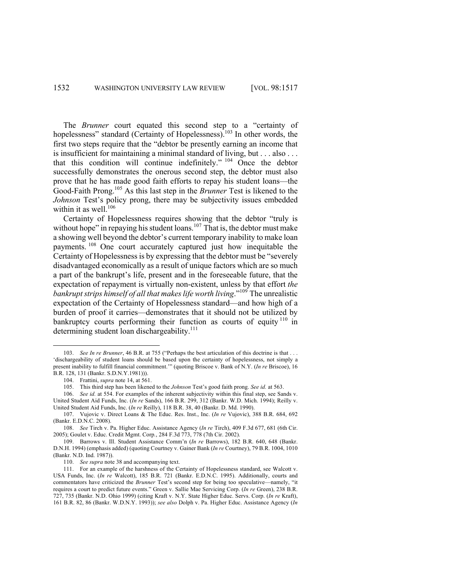The *Brunner* court equated this second step to a "certainty of hopelessness" standard (Certainty of Hopelessness).<sup>103</sup> In other words, the first two steps require that the "debtor be presently earning an income that is insufficient for maintaining a minimal standard of living, but . . . also . . . that this condition will continue indefinitely." <sup>104</sup> Once the debtor successfully demonstrates the onerous second step, the debtor must also prove that he has made good faith efforts to repay his student loans—the Good-Faith Prong. <sup>105</sup> As this last step in the *Brunner* Test is likened to the *Johnson* Test's policy prong, there may be subjectivity issues embedded within it as well.<sup>106</sup>

Certainty of Hopelessness requires showing that the debtor "truly is without hope" in repaying his student loans. $107$  That is, the debtor must make a showing well beyond the debtor's current temporary inability to make loan payments.<sup>108</sup> One court accurately captured just how inequitable the Certainty of Hopelessness is by expressing that the debtor must be "severely disadvantaged economically as a result of unique factors which are so much a part of the bankrupt's life, present and in the foreseeable future, that the expectation of repayment is virtually non-existent, unless by that effort *the bankrupt strips himself of all that makes life worth living*."<sup>109</sup> The unrealistic expectation of the Certainty of Hopelessness standard—and how high of a burden of proof it carries—demonstrates that it should not be utilized by bankruptcy courts performing their function as courts of equity  $110$  in determining student loan dischargeability. $111$ 

<sup>103.</sup> *See In re Brunner*, 46 B.R. at 755 ("Perhaps the best articulation of this doctrine is that . . . 'dischargeability of student loans should be based upon the certainty of hopelessness, not simply a present inability to fulfill financial commitment.'" (quoting Briscoe v. Bank of N.Y. (*In re* Briscoe), 16 B.R. 128, 131 (Bankr. S.D.N.Y.1981))).

<sup>104.</sup> Frattini, *supra* note 14, at 561.

<sup>105.</sup> This third step has been likened to the *Johnson* Test's good faith prong. *See id.* at 563.

<sup>106.</sup> *See id.* at 554. For examples of the inherent subjectivity within this final step, see Sands v. United Student Aid Funds, Inc. (*In re* Sands), 166 B.R. 299, 312 (Bankr. W.D. Mich. 1994); Reilly v. United Student Aid Funds, Inc. (*In re* Reilly), 118 B.R. 38, 40 (Bankr. D. Md. 1990).

<sup>107.</sup> Vujovic v. Direct Loans & The Educ. Res. Inst., Inc. (*In re* Vujovic), 388 B.R. 684, 692 (Bankr. E.D.N.C. 2008).

<sup>108.</sup> *See* Tirch v. Pa. Higher Educ. Assistance Agency (*In re* Tirch), 409 F.3d 677, 681 (6th Cir. 2005); Goulet v. Educ. Credit Mgmt. Corp*.*, 284 F.3d 773, 778 (7th Cir. 2002).

<sup>109.</sup> Barrows v. Ill. Student Assistance Comm'n (*In re* Barrows), 182 B.R. 640, 648 (Bankr. D.N.H. 1994) (emphasis added) (quoting Courtney v. Gainer Bank (*In re* Courtney), 79 B.R. 1004, 1010 (Bankr. N.D. Ind. 1987)).

<sup>110.</sup> *See supra* note 38 and accompanying text.

<sup>111.</sup> For an example of the harshness of the Certainty of Hopelessness standard, see Walcott v. USA Funds, Inc. (*In re* Walcott), 185 B.R. 721 (Bankr. E.D.N.C. 1995). Additionally, courts and commentators have criticized the *Brunner* Test's second step for being too speculative—namely, "it requires a court to predict future events." Green v. Sallie Mae Servicing Corp. (*In re* Green), 238 B.R. 727, 735 (Bankr. N.D. Ohio 1999) (citing Kraft v. N.Y. State Higher Educ. Servs. Corp. (*In re* Kraft), 161 B.R. 82, 86 (Bankr. W.D.N.Y. 1993)); *see also* Dolph v. Pa. Higher Educ. Assistance Agency (*In*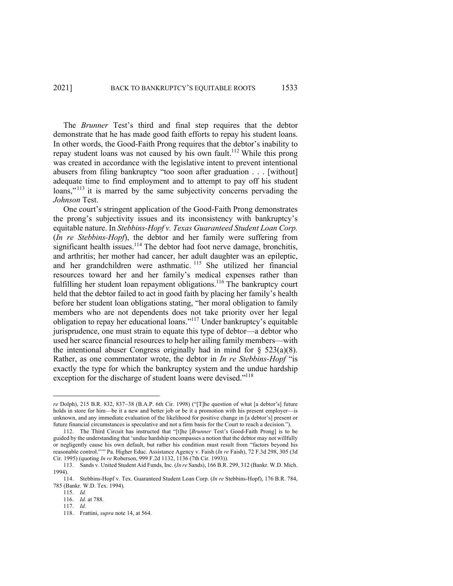The *Brunner* Test's third and final step requires that the debtor demonstrate that he has made good faith efforts to repay his student loans. In other words, the Good-Faith Prong requires that the debtor's inability to repay student loans was not caused by his own fault.<sup>112</sup> While this prong was created in accordance with the legislative intent to prevent intentional abusers from filing bankruptcy "too soon after graduation . . . [without] adequate time to find employment and to attempt to pay off his student loans,"<sup>113</sup> it is marred by the same subjectivity concerns pervading the *Johnson* Test.

One court's stringent application of the Good-Faith Prong demonstrates the prong's subjectivity issues and its inconsistency with bankruptcy's equitable nature. In *Stebbins-Hopf v. Texas Guaranteed Student Loan Corp.* (*In re Stebbins-Hopf*), the debtor and her family were suffering from significant health issues.<sup>114</sup> The debtor had foot nerve damage, bronchitis, and arthritis; her mother had cancer, her adult daughter was an epileptic, and her grandchildren were asthmatic. <sup>115</sup> She utilized her financial resources toward her and her family's medical expenses rather than fulfilling her student loan repayment obligations.<sup>116</sup> The bankruptcy court held that the debtor failed to act in good faith by placing her family's health before her student loan obligations stating, "her moral obligation to family members who are not dependents does not take priority over her legal obligation to repay her educational loans."117 Under bankruptcy's equitable jurisprudence, one must strain to equate this type of debtor—a debtor who used her scarce financial resources to help her ailing family members—with the intentional abuser Congress originally had in mind for  $\S$  523(a)(8). Rather, as one commentator wrote, the debtor in *In re Stebbins-Hopf* "is exactly the type for which the bankruptcy system and the undue hardship exception for the discharge of student loans were devised."<sup>118</sup>

*re* Dolph), 215 B.R. 832, 837-38 (B.A.P. 6th Cir. 1998) ("[T]he question of what [a debtor's] future holds in store for him—be it a new and better job or be it a promotion with his present employer—is unknown, and any immediate evaluation of the likelihood for positive change in [a debtor's] present or future financial circumstances is speculative and not a firm basis for the Court to reach a decision.").

<sup>112.</sup> The Third Circuit has instructed that "[t]he [*Brunner* Test's Good-Faith Prong] is to be guided by the understanding that 'undue hardship encompasses a notion that the debtor may not willfully or negligently cause his own default, but rather his condition must result from "factors beyond his reasonable control."'" Pa. Higher Educ. Assistance Agency v. Faish (*In re* Faish), 72 F.3d 298, 305 (3d Cir. 1995) (quoting *In re* Roberson, 999 F.2d 1132, 1136 (7th Cir. 1993)).

<sup>113.</sup> Sands v. United Student Aid Funds, Inc. (*In re* Sands), 166 B.R. 299, 312 (Bankr. W.D. Mich. 1994).

<sup>114.</sup> Stebbins-Hopf v. Tex. Guaranteed Student Loan Corp. (*In re* Stebbins-Hopf), 176 B.R. 784, 785 (Bankr. W.D. Tex. 1994).

<sup>115.</sup> *Id.*

<sup>116.</sup> *Id.* at 788.

<sup>117.</sup> *Id.*

<sup>118.</sup> Frattini, *supra* note 14, at 564.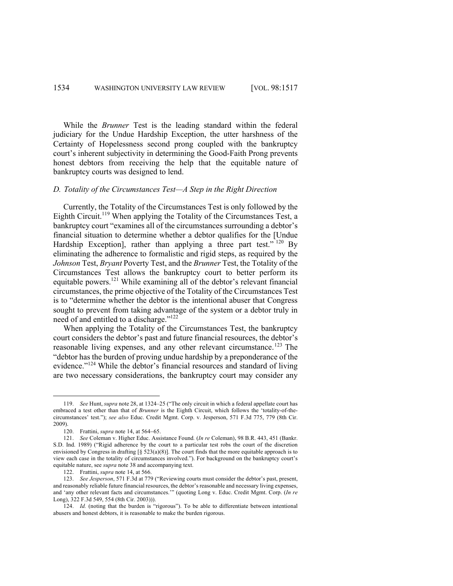While the *Brunner* Test is the leading standard within the federal judiciary for the Undue Hardship Exception, the utter harshness of the Certainty of Hopelessness second prong coupled with the bankruptcy court's inherent subjectivity in determining the Good-Faith Prong prevents honest debtors from receiving the help that the equitable nature of bankruptcy courts was designed to lend.

#### *D. Totality of the Circumstances Test—A Step in the Right Direction*

Currently, the Totality of the Circumstances Test is only followed by the Eighth Circuit.<sup>119</sup> When applying the Totality of the Circumstances Test, a bankruptcy court "examines all of the circumstances surrounding a debtor's financial situation to determine whether a debtor qualifies for the [Undue Hardship Exception], rather than applying a three part test."  $^{120}$  By eliminating the adherence to formalistic and rigid steps, as required by the *Johnson* Test, *Bryant* Poverty Test, and the *Brunner* Test, the Totality of the Circumstances Test allows the bankruptcy court to better perform its equitable powers.<sup>121</sup> While examining all of the debtor's relevant financial circumstances, the prime objective of the Totality of the Circumstances Test is to "determine whether the debtor is the intentional abuser that Congress sought to prevent from taking advantage of the system or a debtor truly in need of and entitled to a discharge."122

When applying the Totality of the Circumstances Test, the bankruptcy court considers the debtor's past and future financial resources, the debtor's reasonable living expenses, and any other relevant circumstance.<sup>123</sup> The "debtor has the burden of proving undue hardship by a preponderance of the evidence."<sup>124</sup> While the debtor's financial resources and standard of living are two necessary considerations, the bankruptcy court may consider any

<sup>119.</sup> *See* Hunt, *supra* note 28, at 1324–25 ("The only circuit in which a federal appellate court has embraced a test other than that of *Brunner* is the Eighth Circuit, which follows the 'totality-of-thecircumstances' test."); *see also* Educ. Credit Mgmt. Corp. v. Jesperson, 571 F.3d 775, 779 (8th Cir. 2009).

<sup>120.</sup> Frattini, *supra* note 14, at 564-65.

<sup>121.</sup> *See* Coleman v. Higher Educ. Assistance Found*.* (*In re* Coleman), 98 B.R. 443, 451 (Bankr. S.D. Ind. 1989) ("Rigid adherence by the court to a particular test robs the court of the discretion envisioned by Congress in drafting [§ 523(a)(8)]. The court finds that the more equitable approach is to view each case in the totality of circumstances involved."). For background on the bankruptcy court's equitable nature, see *supra* note 38 and accompanying text.

<sup>122.</sup> Frattini, *supra* note 14, at 566.

<sup>123.</sup> *See Jesperson*, 571 F.3d at 779 ("Reviewing courts must consider the debtor's past, present, and reasonably reliable future financial resources, the debtor's reasonable and necessary living expenses, and 'any other relevant facts and circumstances.'" (quoting Long v. Educ. Credit Mgmt. Corp. (*In re*  Long), 322 F.3d 549, 554 (8th Cir. 2003))).

<sup>124.</sup> *Id.* (noting that the burden is "rigorous"). To be able to differentiate between intentional abusers and honest debtors, it is reasonable to make the burden rigorous.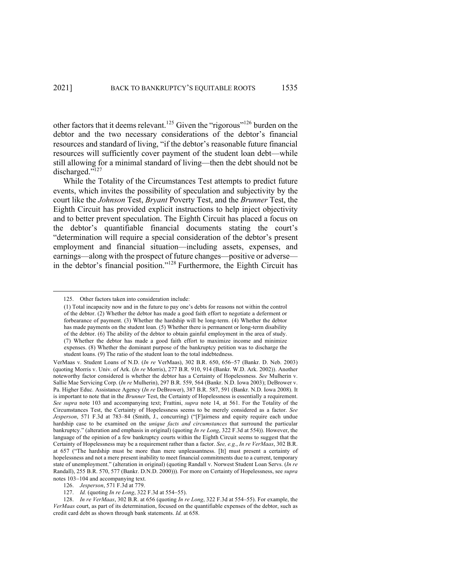other factors that it deems relevant.<sup>125</sup> Given the "rigorous"<sup>126</sup> burden on the debtor and the two necessary considerations of the debtor's financial resources and standard of living, "if the debtor's reasonable future financial resources will sufficiently cover payment of the student loan debt—while still allowing for a minimal standard of living—then the debt should not be discharged."<sup>127</sup>

While the Totality of the Circumstances Test attempts to predict future events, which invites the possibility of speculation and subjectivity by the court like the *Johnson* Test, *Bryant* Poverty Test, and the *Brunner* Test, the Eighth Circuit has provided explicit instructions to help inject objectivity and to better prevent speculation. The Eighth Circuit has placed a focus on the debtor's quantifiable financial documents stating the court's "determination will require a special consideration of the debtor's present employment and financial situation—including assets, expenses, and earnings—along with the prospect of future changes—positive or adverse in the debtor's financial position."<sup>128</sup> Furthermore, the Eighth Circuit has

126. *Jesperson*, 571 F.3d at 779.

<sup>125.</sup> Other factors taken into consideration include:

<sup>(1)</sup> Total incapacity now and in the future to pay one's debts for reasons not within the control of the debtor. (2) Whether the debtor has made a good faith effort to negotiate a deferment or forbearance of payment. (3) Whether the hardship will be long-term. (4) Whether the debtor has made payments on the student loan. (5) Whether there is permanent or long-term disability of the debtor. (6) The ability of the debtor to obtain gainful employment in the area of study. (7) Whether the debtor has made a good faith effort to maximize income and minimize expenses. (8) Whether the dominant purpose of the bankruptcy petition was to discharge the student loans. (9) The ratio of the student loan to the total indebtedness.

VerMaas v. Student Loans of N.D. (*In re* VerMaas), 302 B.R. 650, 656-57 (Bankr. D. Neb. 2003) (quoting Morris v. Univ. of Ark. (*In re* Morris), 277 B.R. 910, 914 (Bankr. W.D. Ark. 2002)). Another noteworthy factor considered is whether the debtor has a Certainty of Hopelessness. *See* Mulherin v. Sallie Mae Servicing Corp. (*In re* Mulherin), 297 B.R. 559, 564 (Bankr. N.D. Iowa 2003); DeBrower v. Pa. Higher Educ. Assistance Agency (*In re* DeBrower), 387 B.R. 587, 591 (Bankr. N.D. Iowa 2008). It is important to note that in the *Brunner* Test, the Certainty of Hopelessness is essentially a requirement. *See supra* note 103 and accompanying text; Frattini, *supra* note 14, at 561. For the Totality of the Circumstances Test, the Certainty of Hopelessness seems to be merely considered as a factor. *See Jesperson*, 571 F.3d at 783–84 (Smith, J., concurring) ("[F]airness and equity require each undue hardship case to be examined on the *unique facts and circumstances* that surround the particular bankruptcy." (alteration and emphasis in original) (quoting *In re Long*, 322 F.3d at 554)). However, the language of the opinion of a few bankruptcy courts within the Eighth Circuit seems to suggest that the Certainty of Hopelessness may be a requirement rather than a factor. *See, e.g.*, *In re VerMaas*, 302 B.R. at 657 ("The hardship must be more than mere unpleasantness. [It] must present a certainty of hopelessness and not a mere present inability to meet financial commitments due to a current, temporary state of unemployment." (alteration in original) (quoting Randall v. Norwest Student Loan Servs. (*In re* Randall), 255 B.R. 570, 577 (Bankr. D.N.D. 2000))). For more on Certainty of Hopelessness, see *supra*  notes 103-104 and accompanying text.

<sup>127.</sup> *Id.* (quoting *In re Long*, 322 F.3d at 554-55).

<sup>128.</sup> *In re VerMaas*, 302 B.R. at 656 (quoting *In re Long*, 322 F.3d at 554–55). For example, the *VerMaas* court, as part of its determination, focused on the quantifiable expenses of the debtor, such as credit card debt as shown through bank statements. *Id.* at 658.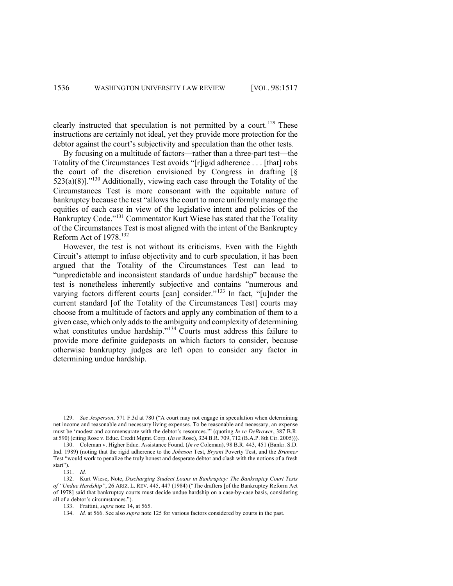clearly instructed that speculation is not permitted by a court.<sup>129</sup> These instructions are certainly not ideal, yet they provide more protection for the debtor against the court's subjectivity and speculation than the other tests.

By focusing on a multitude of factors—rather than a three-part test—the Totality of the Circumstances Test avoids "[r]igid adherence . . . [that] robs the court of the discretion envisioned by Congress in drafting [§ 523(a)(8)]."<sup>130</sup> Additionally, viewing each case through the Totality of the Circumstances Test is more consonant with the equitable nature of bankruptcy because the test "allows the court to more uniformly manage the equities of each case in view of the legislative intent and policies of the Bankruptcy Code."<sup>131</sup> Commentator Kurt Wiese has stated that the Totality of the Circumstances Test is most aligned with the intent of the Bankruptcy Reform Act of 1978.132

However, the test is not without its criticisms. Even with the Eighth Circuit's attempt to infuse objectivity and to curb speculation, it has been argued that the Totality of the Circumstances Test can lead to "unpredictable and inconsistent standards of undue hardship" because the test is nonetheless inherently subjective and contains "numerous and varying factors different courts [can] consider."<sup>133</sup> In fact, "[u]nder the current standard [of the Totality of the Circumstances Test] courts may choose from a multitude of factors and apply any combination of them to a given case, which only adds to the ambiguity and complexity of determining what constitutes undue hardship."<sup>134</sup> Courts must address this failure to provide more definite guideposts on which factors to consider, because otherwise bankruptcy judges are left open to consider any factor in determining undue hardship.

<sup>129.</sup> *See Jesperson*, 571 F.3d at 780 ("A court may not engage in speculation when determining net income and reasonable and necessary living expenses. To be reasonable and necessary, an expense must be 'modest and commensurate with the debtor's resources.'" (quoting *In re DeBrower*, 387 B.R. at 590) (citing Rose v. Educ. Credit Mgmt. Corp. (*In re* Rose), 324 B.R. 709, 712 (B.A.P. 8th Cir. 2005))).

<sup>130.</sup> Coleman v. Higher Educ. Assistance Found. (*In re* Coleman), 98 B.R. 443, 451 (Bankr. S.D. Ind. 1989) (noting that the rigid adherence to the *Johnson* Test, *Bryant* Poverty Test, and the *Brunner* Test "would work to penalize the truly honest and desperate debtor and clash with the notions of a fresh start").

<sup>131.</sup> *Id.*

<sup>132.</sup> Kurt Wiese, Note, *Discharging Student Loans in Bankruptcy: The Bankruptcy Court Tests of "Undue Hardship"*, 26 ARIZ. L. REV. 445, 447 (1984) ("The drafters [of the Bankruptcy Reform Act of 1978] said that bankruptcy courts must decide undue hardship on a case-by-case basis, considering all of a debtor's circumstances.").

<sup>133.</sup> Frattini, *supra* note 14, at 565.

<sup>134.</sup> *Id.* at 566. See also *supra* note 125 for various factors considered by courts in the past.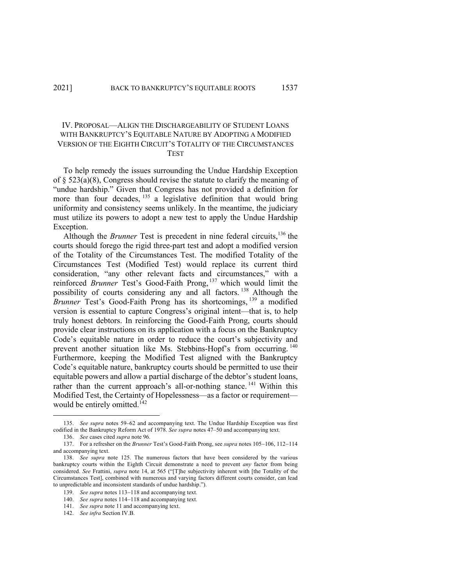# IV. PROPOSAL—ALIGN THE DISCHARGEABILITY OF STUDENT LOANS WITH BANKRUPTCY'S EQUITABLE NATURE BY ADOPTING A MODIFIED VERSION OF THE EIGHTH CIRCUIT'S TOTALITY OF THE CIRCUMSTANCES TEST

To help remedy the issues surrounding the Undue Hardship Exception of  $\S$  523(a)(8), Congress should revise the statute to clarify the meaning of "undue hardship." Given that Congress has not provided a definition for more than four decades, <sup>135</sup> a legislative definition that would bring uniformity and consistency seems unlikely. In the meantime, the judiciary must utilize its powers to adopt a new test to apply the Undue Hardship Exception.

Although the *Brunner* Test is precedent in nine federal circuits,<sup>136</sup> the courts should forego the rigid three-part test and adopt a modified version of the Totality of the Circumstances Test. The modified Totality of the Circumstances Test (Modified Test) would replace its current third consideration, "any other relevant facts and circumstances," with a reinforced *Brunner* Test's Good-Faith Prong, <sup>137</sup> which would limit the possibility of courts considering any and all factors. <sup>138</sup> Although the *Brunner* Test's Good-Faith Prong has its shortcomings, <sup>139</sup> a modified version is essential to capture Congress's original intent—that is, to help truly honest debtors. In reinforcing the Good-Faith Prong, courts should provide clear instructions on its application with a focus on the Bankruptcy Code's equitable nature in order to reduce the court's subjectivity and prevent another situation like Ms. Stebbins-Hopf's from occurring. <sup>140</sup> Furthermore, keeping the Modified Test aligned with the Bankruptcy Code's equitable nature, bankruptcy courts should be permitted to use their equitable powers and allow a partial discharge of the debtor's student loans, rather than the current approach's all-or-nothing stance.<sup>141</sup> Within this Modified Test, the Certainty of Hopelessness—as a factor or requirement would be entirely omitted.<sup>142</sup>

<sup>135.</sup> *See supra* notes 59–62 and accompanying text. The Undue Hardship Exception was first codified in the Bankruptcy Reform Act of 1978. *See supra* notes 47–50 and accompanying text.

<sup>136.</sup> *See* cases cited *supra* note 96.

<sup>137.</sup> For a refresher on the *Brunner* Test's Good-Faith Prong, see *supra* notes 105-106, 112-114 and accompanying text.

<sup>138.</sup> *See supra* note 125. The numerous factors that have been considered by the various bankruptcy courts within the Eighth Circuit demonstrate a need to prevent *any* factor from being considered. *See* Frattini, *supra* note 14, at 565 ("[T]he subjectivity inherent with [the Totality of the Circumstances Test], combined with numerous and varying factors different courts consider, can lead to unpredictable and inconsistent standards of undue hardship.").

<sup>139.</sup> *See supra* notes 113-118 and accompanying text.

<sup>140.</sup> *See supra* notes 114-118 and accompanying text.

<sup>141.</sup> *See supra* note 11 and accompanying text.

<sup>142.</sup> *See infra* Section IV.B.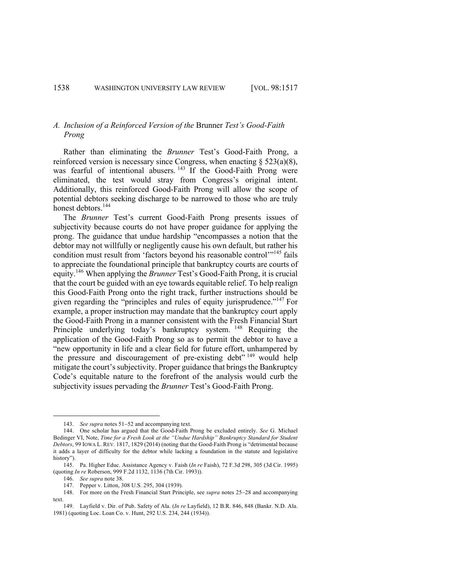## *A. Inclusion of a Reinforced Version of the* Brunner *Test's Good-Faith Prong*

Rather than eliminating the *Brunner* Test's Good-Faith Prong, a reinforced version is necessary since Congress, when enacting  $\S$  523(a)(8), was fearful of intentional abusers.<sup>143</sup> If the Good-Faith Prong were eliminated, the test would stray from Congress's original intent. Additionally, this reinforced Good-Faith Prong will allow the scope of potential debtors seeking discharge to be narrowed to those who are truly honest debtors.<sup>144</sup>

The *Brunner* Test's current Good-Faith Prong presents issues of subjectivity because courts do not have proper guidance for applying the prong. The guidance that undue hardship "encompasses a notion that the debtor may not willfully or negligently cause his own default, but rather his condition must result from 'factors beyond his reasonable control'<sup>145</sup> fails to appreciate the foundational principle that bankruptcy courts are courts of equity.146 When applying the *Brunner* Test's Good-Faith Prong, it is crucial that the court be guided with an eye towards equitable relief. To help realign this Good-Faith Prong onto the right track, further instructions should be given regarding the "principles and rules of equity jurisprudence."147 For example, a proper instruction may mandate that the bankruptcy court apply the Good-Faith Prong in a manner consistent with the Fresh Financial Start Principle underlying today's bankruptcy system. <sup>148</sup> Requiring the application of the Good-Faith Prong so as to permit the debtor to have a "new opportunity in life and a clear field for future effort, unhampered by the pressure and discouragement of pre-existing debt<sup> $n^{149}$ </sup> would help mitigate the court's subjectivity. Proper guidance that brings the Bankruptcy Code's equitable nature to the forefront of the analysis would curb the subjectivity issues pervading the *Brunner* Test's Good-Faith Prong.

<sup>143.</sup> *See supra* notes 51-52 and accompanying text.

<sup>144.</sup> One scholar has argued that the Good-Faith Prong be excluded entirely. *See* G. Michael Bedinger VI, Note, *Time for a Fresh Look at the "Undue Hardship" Bankruptcy Standard for Student Debtors*, 99 IOWA L. REV. 1817, 1829 (2014) (noting that the Good-Faith Prong is "detrimental because it adds a layer of difficulty for the debtor while lacking a foundation in the statute and legislative history").

<sup>145.</sup> Pa. Higher Educ. Assistance Agency v. Faish (*In re* Faish), 72 F.3d 298, 305 (3d Cir. 1995) (quoting *In re* Roberson, 999 F.2d 1132, 1136 (7th Cir. 1993)).

<sup>146.</sup> *See supra* note 38.

<sup>147.</sup> Pepper v. Litton, 308 U.S. 295, 304 (1939).

<sup>148.</sup> For more on the Fresh Financial Start Principle, see *supra* notes 25-28 and accompanying text.

<sup>149.</sup> Layfield v. Dir. of Pub. Safety of Ala. (*In re* Layfield), 12 B.R. 846, 848 (Bankr. N.D. Ala. 1981) (quoting Loc. Loan Co. v. Hunt, 292 U.S. 234, 244 (1934)).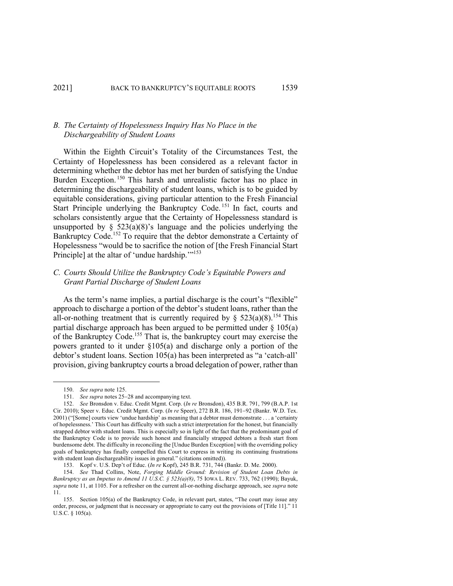### *B. The Certainty of Hopelessness Inquiry Has No Place in the Dischargeability of Student Loans*

Within the Eighth Circuit's Totality of the Circumstances Test, the Certainty of Hopelessness has been considered as a relevant factor in determining whether the debtor has met her burden of satisfying the Undue Burden Exception.<sup>150</sup> This harsh and unrealistic factor has no place in determining the dischargeability of student loans, which is to be guided by equitable considerations, giving particular attention to the Fresh Financial Start Principle underlying the Bankruptcy Code.<sup>151</sup> In fact, courts and scholars consistently argue that the Certainty of Hopelessness standard is unsupported by  $\S$  523(a)(8)'s language and the policies underlying the Bankruptcy Code.<sup>152</sup> To require that the debtor demonstrate a Certainty of Hopelessness "would be to sacrifice the notion of [the Fresh Financial Start Principle] at the altar of 'undue hardship."<sup>153</sup>

# *C. Courts Should Utilize the Bankruptcy Code's Equitable Powers and Grant Partial Discharge of Student Loans*

As the term's name implies, a partial discharge is the court's "flexible" approach to discharge a portion of the debtor's student loans, rather than the all-or-nothing treatment that is currently required by §  $523(a)(8)$ .<sup>154</sup> This partial discharge approach has been argued to be permitted under  $\S$  105(a) of the Bankruptcy Code.<sup>155</sup> That is, the bankruptcy court may exercise the powers granted to it under §105(a) and discharge only a portion of the debtor's student loans. Section 105(a) has been interpreted as "a 'catch-all' provision, giving bankruptcy courts a broad delegation of power, rather than

<sup>150.</sup> *See supra* note 125.

<sup>151.</sup> *See supra* notes 25-28 and accompanying text.

<sup>152.</sup> *See* Bronsdon v. Educ. Credit Mgmt. Corp. (*In re* Bronsdon), 435 B.R. 791, 799 (B.A.P. 1st Cir. 2010); Speer v. Educ. Credit Mgmt. Corp. (*In re* Speer), 272 B.R. 186, 191-92 (Bankr. W.D. Tex. 2001) ("[Some] courts view 'undue hardship' as meaning that a debtor must demonstrate . . . a 'certainty of hopelessness.' This Court has difficulty with such a strict interpretation for the honest, but financially strapped debtor with student loans. This is especially so in light of the fact that the predominant goal of the Bankruptcy Code is to provide such honest and financially strapped debtors a fresh start from burdensome debt. The difficulty in reconciling the [Undue Burden Exception] with the overriding policy goals of bankruptcy has finally compelled this Court to express in writing its continuing frustrations with student loan dischargeability issues in general." (citations omitted)).

<sup>153.</sup> Kopf v. U.S. Dep't of Educ. (*In re* Kopf), 245 B.R. 731, 744 (Bankr. D. Me. 2000).

<sup>154.</sup> *See* Thad Collins, Note, *Forging Middle Ground: Revision of Student Loan Debts in Bankruptcy as an Impetus to Amend 11 U.S.C. § 523(a)(8)*, 75 IOWA L. REV. 733, 762 (1990); Bayuk, *supra* note 11, at 1105. For a refresher on the current all-or-nothing discharge approach, see *supra* note 11.

<sup>155.</sup> Section 105(a) of the Bankruptcy Code, in relevant part, states, "The court may issue any order, process, or judgment that is necessary or appropriate to carry out the provisions of [Title 11]." 11 U.S.C. § 105(a).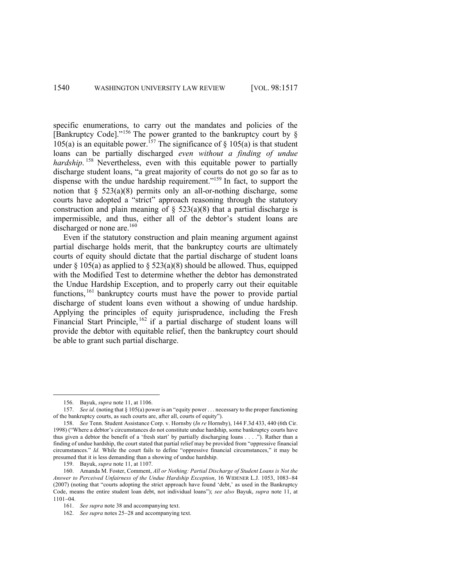specific enumerations, to carry out the mandates and policies of the [Bankruptcy Code]."<sup>156</sup> The power granted to the bankruptcy court by § 105(a) is an equitable power.<sup>157</sup> The significance of § 105(a) is that student loans can be partially discharged *even without a finding of undue hardship*.<sup>158</sup> Nevertheless, even with this equitable power to partially discharge student loans, "a great majority of courts do not go so far as to dispense with the undue hardship requirement."<sup>159</sup> In fact, to support the notion that  $\S$  523(a)(8) permits only an all-or-nothing discharge, some courts have adopted a "strict" approach reasoning through the statutory construction and plain meaning of  $\S$  523(a)(8) that a partial discharge is impermissible, and thus, either all of the debtor's student loans are discharged or none are.<sup>160</sup>

Even if the statutory construction and plain meaning argument against partial discharge holds merit, that the bankruptcy courts are ultimately courts of equity should dictate that the partial discharge of student loans under § 105(a) as applied to § 523(a)(8) should be allowed. Thus, equipped with the Modified Test to determine whether the debtor has demonstrated the Undue Hardship Exception, and to properly carry out their equitable functions,<sup>161</sup> bankruptcy courts must have the power to provide partial discharge of student loans even without a showing of undue hardship. Applying the principles of equity jurisprudence, including the Fresh Financial Start Principle,  $162$  if a partial discharge of student loans will provide the debtor with equitable relief, then the bankruptcy court should be able to grant such partial discharge.

<sup>156.</sup> Bayuk, *supra* note 11, at 1106.

<sup>157.</sup> *See id.* (noting that § 105(a) power is an "equity power . . . necessary to the proper functioning of the bankruptcy courts, as such courts are, after all, courts of equity").

<sup>158.</sup> *See* Tenn. Student Assistance Corp. v. Hornsby (*In re* Hornsby), 144 F.3d 433, 440 (6th Cir. 1998) ("Where a debtor's circumstances do not constitute undue hardship, some bankruptcy courts have thus given a debtor the benefit of a 'fresh start' by partially discharging loans . . . ."). Rather than a finding of undue hardship, the court stated that partial relief may be provided from "oppressive financial circumstances." *Id.* While the court fails to define "oppressive financial circumstances," it may be presumed that it is less demanding than a showing of undue hardship.

<sup>159.</sup> Bayuk, *supra* note 11, at 1107.

<sup>160.</sup> Amanda M. Foster, Comment, *All or Nothing: Partial Discharge of Student Loans is Not the Answer to Perceived Unfairness of the Undue Hardship Exception*, 16 WIDENER L.J. 1053, 1083-84 (2007) (noting that "courts adopting the strict approach have found 'debt,' as used in the Bankruptcy Code, means the entire student loan debt, not individual loans"); *see also* Bayuk, *supra* note 11, at 1101-04.

<sup>161.</sup> *See supra* note 38 and accompanying text.

<sup>162.</sup> *See supra* notes 25-28 and accompanying text.